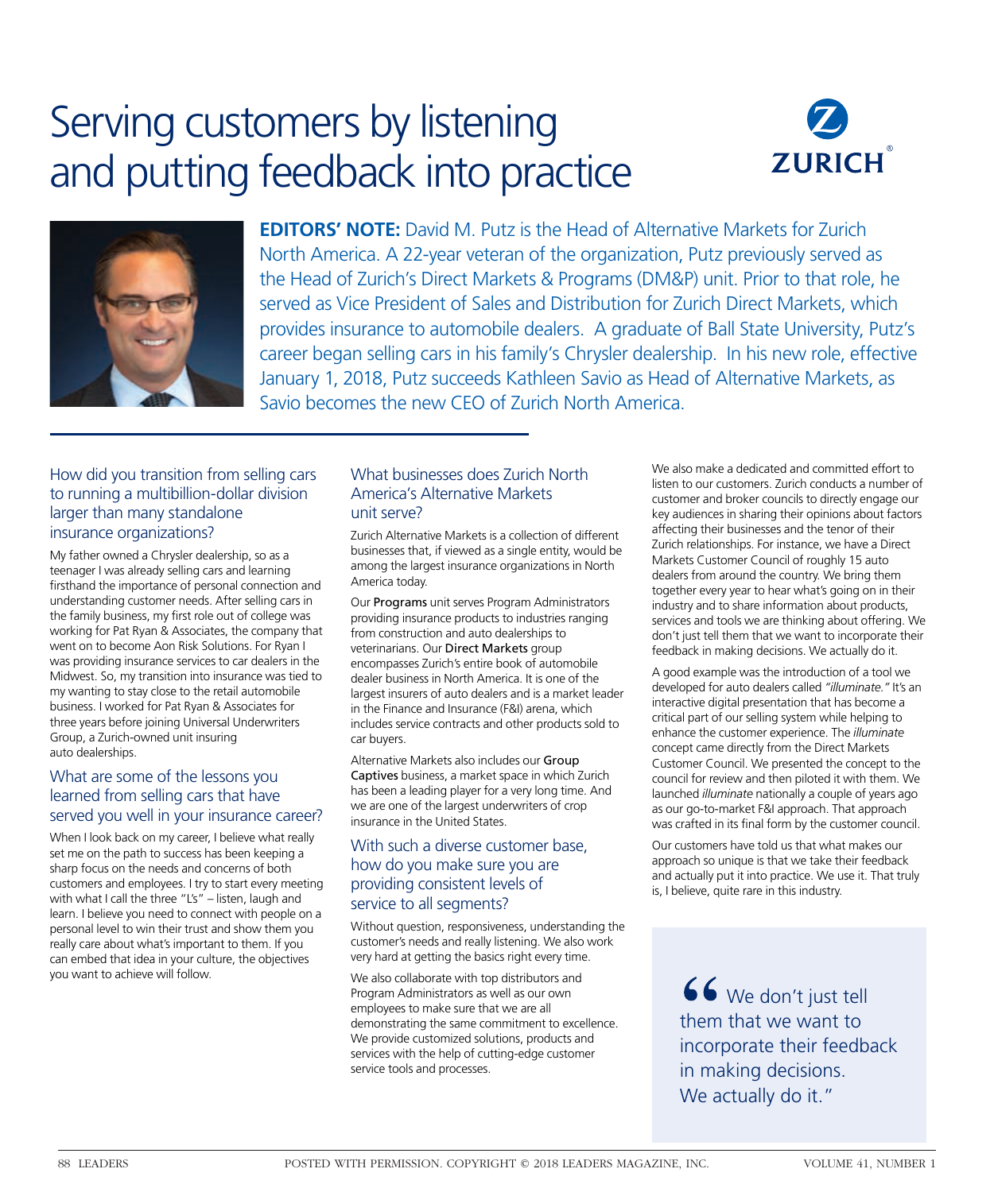# Serving customers by listening and putting feedback into practice





**EDITORS' NOTE:** David M. Putz is the Head of Alternative Markets for Zurich North America. A 22-year veteran of the organization, Putz previously served as the Head of Zurich's Direct Markets & Programs (DM&P) unit. Prior to that role, he served as Vice President of Sales and Distribution for Zurich Direct Markets, which provides insurance to automobile dealers. A graduate of Ball State University, Putz's career began selling cars in his family's Chrysler dealership. In his new role, effective January 1, 2018, Putz succeeds Kathleen Savio as Head of Alternative Markets, as Savio becomes the new CEO of Zurich North America.

# How did you transition from selling cars to running a multibillion-dollar division larger than many standalone insurance organizations?

My father owned a Chrysler dealership, so as a teenager I was already selling cars and learning firsthand the importance of personal connection and understanding customer needs. After selling cars in the family business, my first role out of college was working for Pat Ryan & Associates, the company that went on to become Aon Risk Solutions. For Ryan I was providing insurance services to car dealers in the Midwest. So, my transition into insurance was tied to my wanting to stay close to the retail automobile business. I worked for Pat Ryan & Associates for three years before joining Universal Underwriters Group, a Zurich-owned unit insuring auto dealerships.

#### What are some of the lessons you learned from selling cars that have served you well in your insurance career?

When I look back on my career, I believe what really set me on the path to success has been keeping a sharp focus on the needs and concerns of both customers and employees. I try to start every meeting with what I call the three "L's" – listen, laugh and learn. I believe you need to connect with people on a personal level to win their trust and show them you really care about what's important to them. If you can embed that idea in your culture, the objectives you want to achieve will follow.

# What businesses does Zurich North America's Alternative Markets unit serve?

Zurich Alternative Markets is a collection of different businesses that, if viewed as a single entity, would be among the largest insurance organizations in North America today.

Our Programs unit serves Program Administrators providing insurance products to industries ranging from construction and auto dealerships to veterinarians. Our Direct Markets group encompasses Zurich's entire book of automobile dealer business in North America. It is one of the largest insurers of auto dealers and is a market leader in the Finance and Insurance (F&I) arena, which includes service contracts and other products sold to car buyers.

Alternative Markets also includes our Group Captives business, a market space in which Zurich has been a leading player for a very long time. And we are one of the largest underwriters of crop insurance in the United States.

# With such a diverse customer base, how do you make sure you are providing consistent levels of service to all segments?

Without question, responsiveness, understanding the customer's needs and really listening. We also work very hard at getting the basics right every time.

We also collaborate with top distributors and Program Administrators as well as our own employees to make sure that we are all demonstrating the same commitment to excellence. We provide customized solutions, products and services with the help of cutting-edge customer service tools and processes.

We also make a dedicated and committed effort to listen to our customers. Zurich conducts a number of customer and broker councils to directly engage our key audiences in sharing their opinions about factors affecting their businesses and the tenor of their Zurich relationships. For instance, we have a Direct Markets Customer Council of roughly 15 auto dealers from around the country. We bring them together every year to hear what's going on in their industry and to share information about products, services and tools we are thinking about offering. We don't just tell them that we want to incorporate their feedback in making decisions. We actually do it.

A good example was the introduction of a tool we developed for auto dealers called *"illuminate."* It's an interactive digital presentation that has become a critical part of our selling system while helping to enhance the customer experience. The *illuminate* concept came directly from the Direct Markets Customer Council. We presented the concept to the council for review and then piloted it with them. We launched *illuminate* nationally a couple of years ago as our go-to-market F&I approach. That approach was crafted in its final form by the customer council.

Our customers have told us that what makes our approach so unique is that we take their feedback and actually put it into practice. We use it. That truly is, I believe, quite rare in this industry.

> 66 We don't just tell them that we want to incorporate their feedback in making decisions. We actually do it."